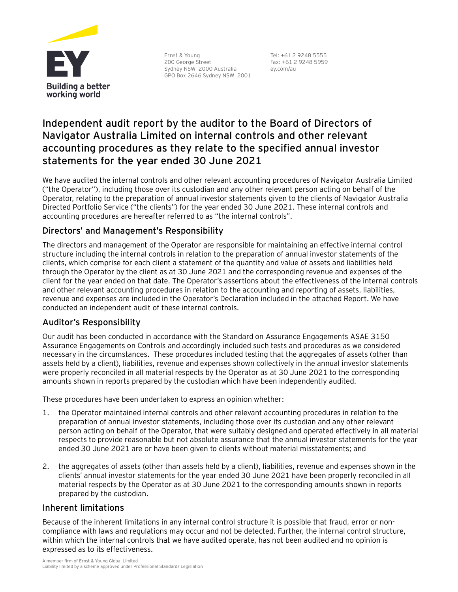

Ernst & Young 200 George Street Sydney NSW 2000 Australia GPO Box 2646 Sydney NSW 2001

Tel: +61 2 9248 5555 Fax: +61 2 9248 5959 ey.com/au

# **Independent audit report by the auditor to the Board of Directors of Navigator Australia Limited on internal controls and other relevant accounting procedures as they relate to the specified annual investor statements for the year ended 30 June 2021**

We have audited the internal controls and other relevant accounting procedures of Navigator Australia Limited ("the Operator"), including those over its custodian and any other relevant person acting on behalf of the Operator, relating to the preparation of annual investor statements given to the clients of Navigator Australia Directed Portfolio Service ("the clients") for the year ended 30 June 2021. These internal controls and accounting procedures are hereafter referred to as "the internal controls".

## Directors' and Management's Responsibility

The directors and management of the Operator are responsible for maintaining an effective internal control structure including the internal controls in relation to the preparation of annual investor statements of the clients, which comprise for each client a statement of the quantity and value of assets and liabilities held through the Operator by the client as at 30 June 2021 and the corresponding revenue and expenses of the client for the year ended on that date. The Operator's assertions about the effectiveness of the internal controls and other relevant accounting procedures in relation to the accounting and reporting of assets, liabilities, revenue and expenses are included in the Operator's Declaration included in the attached Report. We have conducted an independent audit of these internal controls.

## Auditor's Responsibility

Our audit has been conducted in accordance with the Standard on Assurance Engagements ASAE 3150 Assurance Engagements on Controls and accordingly included such tests and procedures as we considered necessary in the circumstances. These procedures included testing that the aggregates of assets (other than assets held by a client), liabilities, revenue and expenses shown collectively in the annual investor statements were properly reconciled in all material respects by the Operator as at 30 June 2021 to the corresponding amounts shown in reports prepared by the custodian which have been independently audited.

These procedures have been undertaken to express an opinion whether:

- 1. the Operator maintained internal controls and other relevant accounting procedures in relation to the preparation of annual investor statements, including those over its custodian and any other relevant person acting on behalf of the Operator, that were suitably designed and operated effectively in all material respects to provide reasonable but not absolute assurance that the annual investor statements for the year ended 30 June 2021 are or have been given to clients without material misstatements; and
- 2. the aggregates of assets (other than assets held by a client), liabilities, revenue and expenses shown in the clients' annual investor statements for the year ended 30 June 2021 have been properly reconciled in all material respects by the Operator as at 30 June 2021 to the corresponding amounts shown in reports prepared by the custodian.

## Inherent limitations

Because of the inherent limitations in any internal control structure it is possible that fraud, error or noncompliance with laws and regulations may occur and not be detected. Further, the internal control structure, within which the internal controls that we have audited operate, has not been audited and no opinion is expressed as to its effectiveness.